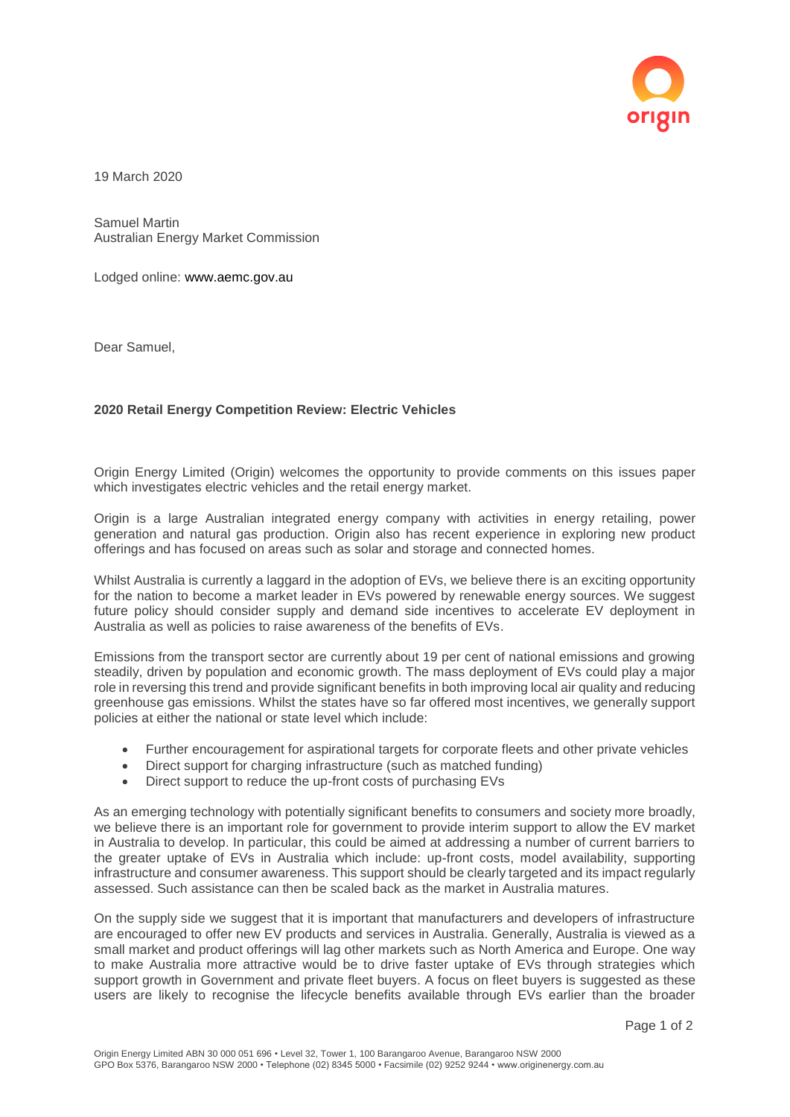

19 March 2020

Samuel Martin Australian Energy Market Commission

Lodged online: www.aemc.gov.au

Dear Samuel,

## **2020 Retail Energy Competition Review: Electric Vehicles**

Origin Energy Limited (Origin) welcomes the opportunity to provide comments on this issues paper which investigates electric vehicles and the retail energy market.

Origin is a large Australian integrated energy company with activities in energy retailing, power generation and natural gas production. Origin also has recent experience in exploring new product offerings and has focused on areas such as solar and storage and connected homes.

Whilst Australia is currently a laggard in the adoption of EVs, we believe there is an exciting opportunity for the nation to become a market leader in EVs powered by renewable energy sources. We suggest future policy should consider supply and demand side incentives to accelerate EV deployment in Australia as well as policies to raise awareness of the benefits of EVs.

Emissions from the transport sector are currently about 19 per cent of national emissions and growing steadily, driven by population and economic growth. The mass deployment of EVs could play a major role in reversing this trend and provide significant benefits in both improving local air quality and reducing greenhouse gas emissions. Whilst the states have so far offered most incentives, we generally support policies at either the national or state level which include:

- Further encouragement for aspirational targets for corporate fleets and other private vehicles
- Direct support for charging infrastructure (such as matched funding)
- Direct support to reduce the up-front costs of purchasing EVs

As an emerging technology with potentially significant benefits to consumers and society more broadly, we believe there is an important role for government to provide interim support to allow the EV market in Australia to develop. In particular, this could be aimed at addressing a number of current barriers to the greater uptake of EVs in Australia which include: up-front costs, model availability, supporting infrastructure and consumer awareness. This support should be clearly targeted and its impact regularly assessed. Such assistance can then be scaled back as the market in Australia matures.

On the supply side we suggest that it is important that manufacturers and developers of infrastructure are encouraged to offer new EV products and services in Australia. Generally, Australia is viewed as a small market and product offerings will lag other markets such as North America and Europe. One way to make Australia more attractive would be to drive faster uptake of EVs through strategies which support growth in Government and private fleet buyers. A focus on fleet buyers is suggested as these users are likely to recognise the lifecycle benefits available through EVs earlier than the broader